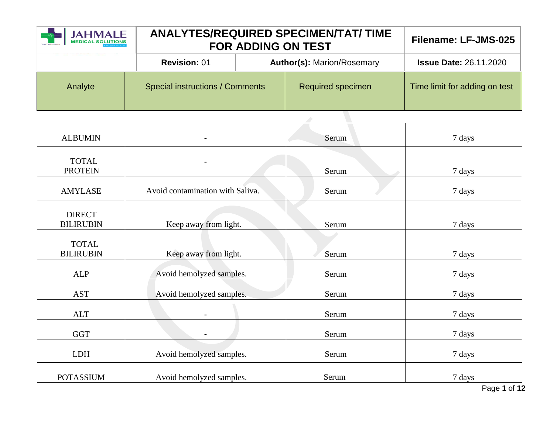| JAHMALE |                                        | <b>ANALYTES/REQUIRED SPECIMEN/TAT/ TIME</b><br><b>FOR ADDING ON TEST</b> |                                   |                               |
|---------|----------------------------------------|--------------------------------------------------------------------------|-----------------------------------|-------------------------------|
|         | <b>Revision: 01</b>                    |                                                                          | <b>Author(s): Marion/Rosemary</b> | <b>Issue Date: 26.11.2020</b> |
| Analyte | <b>Special instructions / Comments</b> |                                                                          | Required specimen                 | Time limit for adding on test |

| <b>ALBUMIN</b>                    |                                  | Serum | 7 days |
|-----------------------------------|----------------------------------|-------|--------|
| <b>TOTAL</b><br><b>PROTEIN</b>    |                                  | Serum | 7 days |
| <b>AMYLASE</b>                    | Avoid contamination with Saliva. | Serum | 7 days |
| <b>DIRECT</b><br><b>BILIRUBIN</b> | Keep away from light.            | Serum | 7 days |
| <b>TOTAL</b><br><b>BILIRUBIN</b>  | Keep away from light.            | Serum | 7 days |
| <b>ALP</b>                        | Avoid hemolyzed samples.         | Serum | 7 days |
| <b>AST</b>                        | Avoid hemolyzed samples.         | Serum | 7 days |
| <b>ALT</b>                        |                                  | Serum | 7 days |
| <b>GGT</b>                        |                                  | Serum | 7 days |
| <b>LDH</b>                        | Avoid hemolyzed samples.         | Serum | 7 days |
| <b>POTASSIUM</b>                  | Avoid hemolyzed samples.         | Serum | 7 days |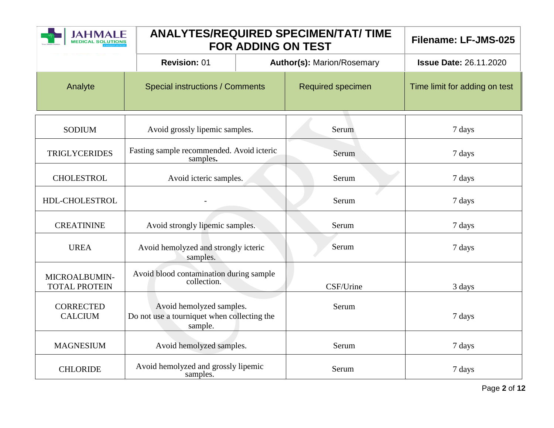| <b>IAHMALE</b>                        |                                                                                    | <b>FOR ADDING ON TEST</b> | <b>ANALYTES/REQUIRED SPECIMEN/TAT/ TIME</b> | Filename: LF-JMS-025          |
|---------------------------------------|------------------------------------------------------------------------------------|---------------------------|---------------------------------------------|-------------------------------|
|                                       | <b>Revision: 01</b>                                                                |                           | <b>Author(s): Marion/Rosemary</b>           | <b>Issue Date: 26.11.2020</b> |
| Analyte                               | <b>Special instructions / Comments</b>                                             |                           | Required specimen                           | Time limit for adding on test |
| <b>SODIUM</b>                         | Avoid grossly lipemic samples.                                                     |                           | Serum                                       | 7 days                        |
| <b>TRIGLYCERIDES</b>                  | Fasting sample recommended. Avoid icteric<br>samples.                              |                           | Serum                                       | 7 days                        |
| <b>CHOLESTROL</b>                     | Avoid icteric samples.                                                             |                           | Serum                                       | 7 days                        |
| HDL-CHOLESTROL                        |                                                                                    |                           | Serum                                       | 7 days                        |
| <b>CREATININE</b>                     | Avoid strongly lipemic samples.                                                    |                           | Serum                                       | 7 days                        |
| <b>UREA</b>                           | Avoid hemolyzed and strongly icteric<br>samples.                                   |                           | Serum                                       | 7 days                        |
| MICROALBUMIN-<br><b>TOTAL PROTEIN</b> | Avoid blood contamination during sample<br>collection.                             |                           | CSF/Urine                                   | 3 days                        |
| <b>CORRECTED</b><br><b>CALCIUM</b>    | Avoid hemolyzed samples.<br>Do not use a tourniquet when collecting the<br>sample. |                           | Serum                                       | 7 days                        |
| <b>MAGNESIUM</b>                      | Avoid hemolyzed samples.                                                           |                           | Serum                                       | 7 days                        |
| <b>CHLORIDE</b>                       | Avoid hemolyzed and grossly lipemic<br>samples.                                    |                           | Serum                                       | 7 days                        |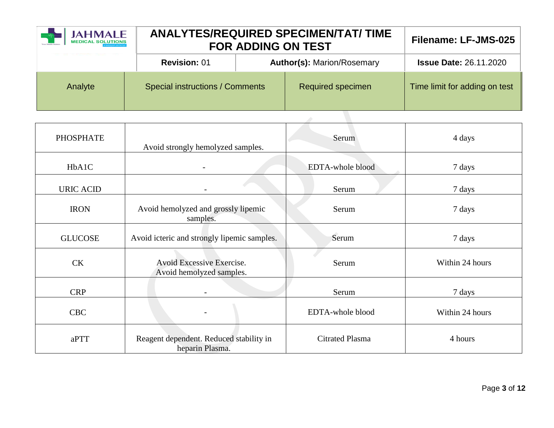| <b>JAHMALE</b><br><b>MEDICAL SOLUTIONS</b> | <b>ANALYTES/REQUIRED SPECIMEN/TAT/ TIME</b><br><b>FOR ADDING ON TEST</b> | Filename: LF-JMS-025              |                               |
|--------------------------------------------|--------------------------------------------------------------------------|-----------------------------------|-------------------------------|
|                                            | <b>Revision: 01</b>                                                      | <b>Author(s): Marion/Rosemary</b> | <b>Issue Date: 26.11.2020</b> |
| Analyte                                    | <b>Special instructions / Comments</b>                                   | <b>Required specimen</b>          | Time limit for adding on test |
|                                            |                                                                          |                                   |                               |

| <b>PHOSPHATE</b> | Avoid strongly hemolyzed samples.                          | Serum                  | 4 days          |
|------------------|------------------------------------------------------------|------------------------|-----------------|
| HbA1C            |                                                            | EDTA-whole blood       | 7 days          |
| <b>URIC ACID</b> |                                                            | Serum                  | 7 days          |
| <b>IRON</b>      | Avoid hemolyzed and grossly lipemic<br>samples.            | Serum                  | 7 days          |
| <b>GLUCOSE</b>   | Avoid icteric and strongly lipemic samples.                | Serum                  | 7 days          |
| <b>CK</b>        | Avoid Excessive Exercise.<br>Avoid hemolyzed samples.      | Serum                  | Within 24 hours |
| <b>CRP</b>       |                                                            | Serum                  | 7 days          |
| <b>CBC</b>       |                                                            | EDTA-whole blood       | Within 24 hours |
| aPTT             | Reagent dependent. Reduced stability in<br>heparin Plasma. | <b>Citrated Plasma</b> | 4 hours         |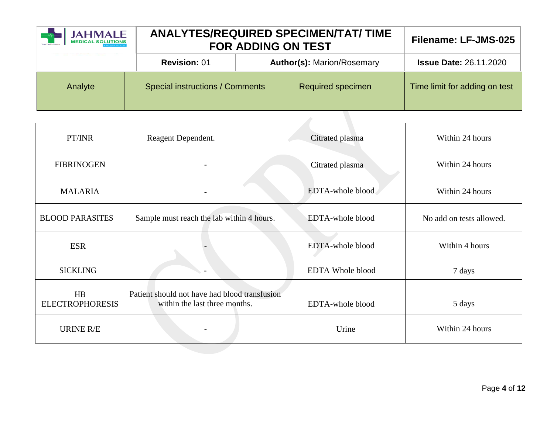| <b>JAHMALE</b><br><b>MEDICAL SOLUTIONS</b> | <b>ANALYTES/REQUIRED SPECIMEN/TAT/ TIME</b><br><b>FOR ADDING ON TEST</b> |  |                                   | Filename: LF-JMS-025          |
|--------------------------------------------|--------------------------------------------------------------------------|--|-----------------------------------|-------------------------------|
|                                            | <b>Revision: 01</b>                                                      |  | <b>Author(s): Marion/Rosemary</b> | <b>Issue Date: 26.11.2020</b> |
| Analyte                                    | <b>Special instructions / Comments</b>                                   |  | <b>Required specimen</b>          | Time limit for adding on test |
|                                            |                                                                          |  |                                   |                               |

| PT/INR                       | Reagent Dependent.                                                             | Citrated plasma         | Within 24 hours          |
|------------------------------|--------------------------------------------------------------------------------|-------------------------|--------------------------|
| <b>FIBRINOGEN</b>            |                                                                                | Citrated plasma         | Within 24 hours          |
| <b>MALARIA</b>               |                                                                                | EDTA-whole blood        | Within 24 hours          |
| <b>BLOOD PARASITES</b>       | Sample must reach the lab within 4 hours.                                      | EDTA-whole blood        | No add on tests allowed. |
| <b>ESR</b>                   |                                                                                | EDTA-whole blood        | Within 4 hours           |
| <b>SICKLING</b>              |                                                                                | <b>EDTA Whole blood</b> | 7 days                   |
| HB<br><b>ELECTROPHORESIS</b> | Patient should not have had blood transfusion<br>within the last three months. | EDTA-whole blood        | 5 days                   |
| URINE R/E                    |                                                                                | Urine                   | Within 24 hours          |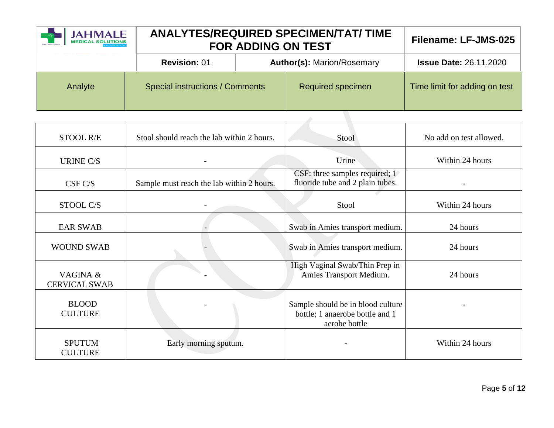| JAHMALE<br>MEDICAL SOLUTIONS | <b>ANALYTES/REQUIRED SPECIMEN/TAT/ TIME</b><br><b>FOR ADDING ON TEST</b> | Filename: LF-JMS-025              |                               |
|------------------------------|--------------------------------------------------------------------------|-----------------------------------|-------------------------------|
|                              | <b>Revision: 01</b>                                                      | <b>Author(s): Marion/Rosemary</b> | <b>Issue Date: 26.11.2020</b> |
| Analyte                      | <b>Special instructions / Comments</b>                                   | <b>Required specimen</b>          | Time limit for adding on test |
|                              |                                                                          |                                   |                               |

| STOOL R/E                        | Stool should reach the lab within 2 hours. | Stool                                                                                 | No add on test allowed. |
|----------------------------------|--------------------------------------------|---------------------------------------------------------------------------------------|-------------------------|
| <b>URINE C/S</b>                 |                                            | Urine                                                                                 | Within 24 hours         |
| CSF C/S                          | Sample must reach the lab within 2 hours.  | CSF: three samples required; 1<br>fluoride tube and 2 plain tubes.                    |                         |
| STOOL C/S                        |                                            | Stool                                                                                 | Within 24 hours         |
| <b>EAR SWAB</b>                  |                                            | Swab in Amies transport medium.                                                       | 24 hours                |
| <b>WOUND SWAB</b>                |                                            | Swab in Amies transport medium.                                                       | 24 hours                |
| VAGINA &<br><b>CERVICAL SWAB</b> |                                            | High Vaginal Swab/Thin Prep in<br>Amies Transport Medium.                             | 24 hours                |
| <b>BLOOD</b><br><b>CULTURE</b>   |                                            | Sample should be in blood culture<br>bottle; 1 anaerobe bottle and 1<br>aerobe bottle |                         |
| <b>SPUTUM</b><br><b>CULTURE</b>  | Early morning sputum.                      |                                                                                       | Within 24 hours         |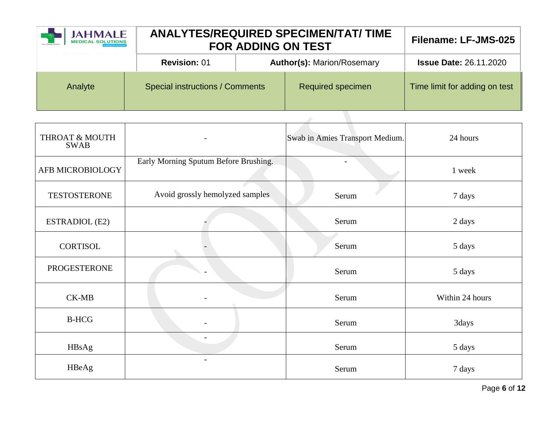| <b>JAHMALE</b><br><b>MEDICAL SOLUTIONS</b> | <b>ANALYTES/REQUIRED SPECIMEN/TAT/ TIME</b><br><b>FOR ADDING ON TEST</b> |  |                                   | Filename: LF-JMS-025          |
|--------------------------------------------|--------------------------------------------------------------------------|--|-----------------------------------|-------------------------------|
|                                            | <b>Revision: 01</b>                                                      |  | <b>Author(s): Marion/Rosemary</b> | <b>Issue Date: 26.11.2020</b> |
| Analyte                                    | <b>Special instructions / Comments</b>                                   |  | <b>Required specimen</b>          | Time limit for adding on test |
|                                            |                                                                          |  |                                   |                               |

| THROAT & MOUTH<br><b>SWAB</b> |                                       | Swab in Amies Transport Medium. | 24 hours        |
|-------------------------------|---------------------------------------|---------------------------------|-----------------|
| AFB MICROBIOLOGY              | Early Morning Sputum Before Brushing. |                                 | 1 week          |
| <b>TESTOSTERONE</b>           | Avoid grossly hemolyzed samples       | Serum                           | 7 days          |
| <b>ESTRADIOL (E2)</b>         |                                       | Serum                           | 2 days          |
| <b>CORTISOL</b>               |                                       | Serum                           | 5 days          |
| <b>PROGESTERONE</b>           |                                       | Serum                           | 5 days          |
| $CK-MB$                       |                                       | Serum                           | Within 24 hours |
| <b>B-HCG</b>                  | $\qquad \qquad$                       | Serum                           | 3days           |
| HBsAg                         | $\overline{\phantom{0}}$              | Serum                           | 5 days          |
| HBeAg                         |                                       | Serum                           | 7 days          |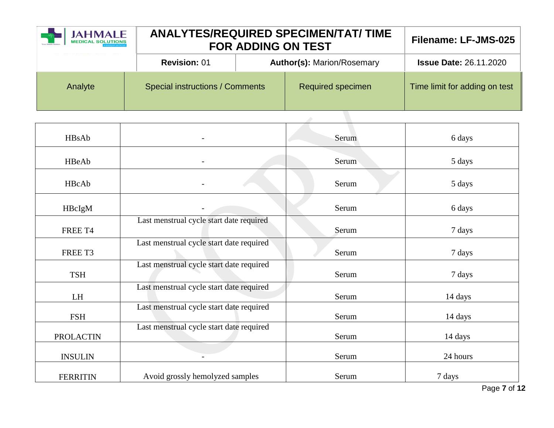| <b>Author(s): Marion/Rosemary</b><br><b>Revision: 01</b><br><b>Issue Date: 26.11.2020</b>                      |  |
|----------------------------------------------------------------------------------------------------------------|--|
|                                                                                                                |  |
| <b>Special instructions / Comments</b><br><b>Required specimen</b><br>Time limit for adding on test<br>Analyte |  |

| HBsAb            |                                          | Serum | 6 days   |
|------------------|------------------------------------------|-------|----------|
| HBeAb            |                                          | Serum | 5 days   |
| HBcAb            |                                          | Serum | 5 days   |
| HBcIgM           |                                          | Serum | 6 days   |
| FREE T4          | Last menstrual cycle start date required | Serum | 7 days   |
| FREE T3          | Last menstrual cycle start date required | Serum | 7 days   |
| <b>TSH</b>       | Last menstrual cycle start date required | Serum | 7 days   |
| LH               | Last menstrual cycle start date required | Serum | 14 days  |
| <b>FSH</b>       | Last menstrual cycle start date required | Serum | 14 days  |
| <b>PROLACTIN</b> | Last menstrual cycle start date required | Serum | 14 days  |
| <b>INSULIN</b>   |                                          | Serum | 24 hours |
| <b>FERRITIN</b>  | Avoid grossly hemolyzed samples          | Serum | 7 days   |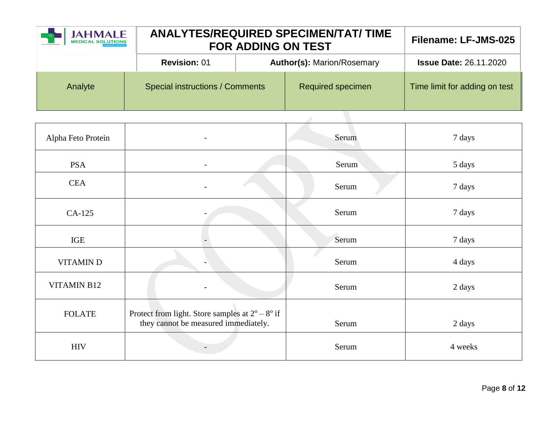| JAHMALE<br>MEDICAL SOLUTIONS | <b>ANALYTES/REQUIRED SPECIMEN/TAT/ TIME</b><br><b>FOR ADDING ON TEST</b> |                                   |                          | Filename: LF-JMS-025          |
|------------------------------|--------------------------------------------------------------------------|-----------------------------------|--------------------------|-------------------------------|
|                              | <b>Revision: 01</b>                                                      | <b>Author(s): Marion/Rosemary</b> |                          | <b>Issue Date: 26.11.2020</b> |
| Analyte                      | Special instructions / Comments                                          |                                   | <b>Required specimen</b> | Time limit for adding on test |
|                              |                                                                          |                                   |                          |                               |

| Alpha Feto Protein | $\overline{\phantom{a}}$                                                                                | Serum | 7 days  |
|--------------------|---------------------------------------------------------------------------------------------------------|-------|---------|
| <b>PSA</b>         |                                                                                                         | Serum | 5 days  |
| <b>CEA</b>         |                                                                                                         | Serum | 7 days  |
| CA-125             |                                                                                                         | Serum | 7 days  |
| IGE                |                                                                                                         | Serum | 7 days  |
| <b>VITAMIND</b>    |                                                                                                         | Serum | 4 days  |
| <b>VITAMIN B12</b> |                                                                                                         | Serum | 2 days  |
| <b>FOLATE</b>      | Protect from light. Store samples at $2^{\circ} - 8^{\circ}$ if<br>they cannot be measured immediately. | Serum | 2 days  |
| <b>HIV</b>         |                                                                                                         | Serum | 4 weeks |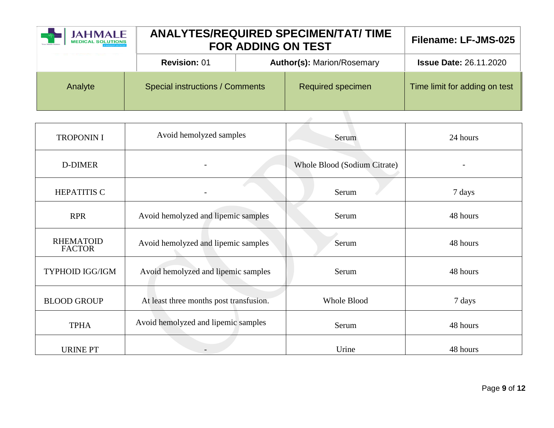| <b>JAHMALE</b><br><b>MEDICAL SOLUTIONS</b> | <b>ANALYTES/REQUIRED SPECIMEN/TAT/ TIME</b><br><b>FOR ADDING ON TEST</b> |                                   |                          | Filename: LF-JMS-025          |
|--------------------------------------------|--------------------------------------------------------------------------|-----------------------------------|--------------------------|-------------------------------|
|                                            | <b>Revision: 01</b>                                                      | <b>Author(s): Marion/Rosemary</b> |                          | <b>Issue Date: 26.11.2020</b> |
| Analyte                                    | Special instructions / Comments                                          |                                   | <b>Required specimen</b> | Time limit for adding on test |
|                                            |                                                                          |                                   |                          |                               |

| <b>TROPONIN I</b>                 | Avoid hemolyzed samples                 | Serum                        | 24 hours |
|-----------------------------------|-----------------------------------------|------------------------------|----------|
| D-DIMER                           |                                         | Whole Blood (Sodium Citrate) |          |
| <b>HEPATITIS C</b>                |                                         | Serum                        | 7 days   |
| <b>RPR</b>                        | Avoid hemolyzed and lipemic samples     | Serum                        | 48 hours |
| <b>RHEMATOID</b><br><b>FACTOR</b> | Avoid hemolyzed and lipemic samples     | Serum                        | 48 hours |
| <b>TYPHOID IGG/IGM</b>            | Avoid hemolyzed and lipemic samples     | Serum                        | 48 hours |
| <b>BLOOD GROUP</b>                | At least three months post transfusion. | <b>Whole Blood</b>           | 7 days   |
| <b>TPHA</b>                       | Avoid hemolyzed and lipemic samples     | Serum                        | 48 hours |
| <b>URINE PT</b>                   |                                         | Urine                        | 48 hours |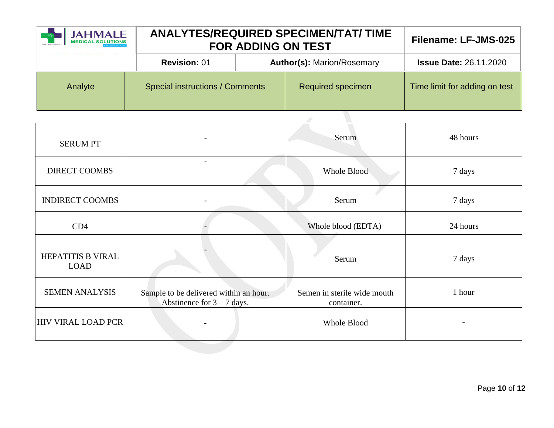| JAHMALE<br><b>ANALYTES/REQUIRED SPECIMEN/TAT/ TIME</b><br><b>FOR ADDING ON TEST</b> |                                        | Filename: LF-JMS-025              |                          |                               |
|-------------------------------------------------------------------------------------|----------------------------------------|-----------------------------------|--------------------------|-------------------------------|
|                                                                                     | <b>Revision: 01</b>                    | <b>Author(s): Marion/Rosemary</b> |                          | <b>Issue Date: 26.11.2020</b> |
| Analyte                                                                             | <b>Special instructions / Comments</b> |                                   | <b>Required specimen</b> | Time limit for adding on test |

| <b>SERUM PT</b>                  |                                                                        | Serum                                     | 48 hours |
|----------------------------------|------------------------------------------------------------------------|-------------------------------------------|----------|
| <b>DIRECT COOMBS</b>             | $\overline{a}$                                                         | <b>Whole Blood</b>                        | 7 days   |
| <b>INDIRECT COOMBS</b>           |                                                                        | Serum                                     | 7 days   |
| CD4                              |                                                                        | Whole blood (EDTA)                        | 24 hours |
| HEPATITIS B VIRAL<br><b>LOAD</b> |                                                                        | Serum                                     | 7 days   |
| <b>SEMEN ANALYSIS</b>            | Sample to be delivered within an hour.<br>Abstinence for $3 - 7$ days. | Semen in sterile wide mouth<br>container. | 1 hour   |
| <b>HIV VIRAL LOAD PCR</b>        |                                                                        | Whole Blood                               |          |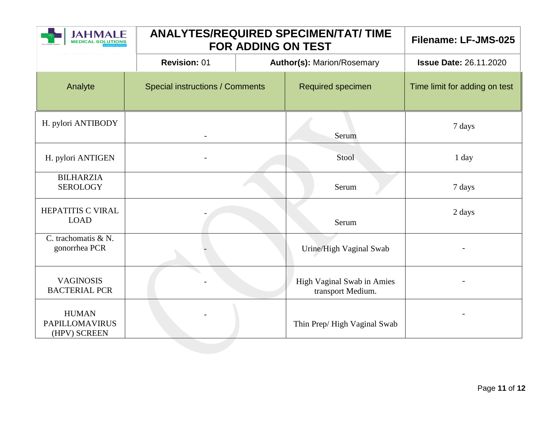| <b>AHMALE</b>                                         | <b>ANALYTES/REQUIRED SPECIMEN/TAT/ TIME</b><br><b>FOR ADDING ON TEST</b> | Filename: LF-JMS-025                            |                               |
|-------------------------------------------------------|--------------------------------------------------------------------------|-------------------------------------------------|-------------------------------|
|                                                       | <b>Revision: 01</b>                                                      | <b>Author(s): Marion/Rosemary</b>               | <b>Issue Date: 26.11.2020</b> |
| Analyte                                               | <b>Special instructions / Comments</b>                                   | Required specimen                               | Time limit for adding on test |
| H. pylori ANTIBODY                                    |                                                                          | Serum                                           | 7 days                        |
| H. pylori ANTIGEN                                     |                                                                          | Stool                                           | 1 day                         |
| <b>BILHARZIA</b><br><b>SEROLOGY</b>                   |                                                                          | Serum                                           | 7 days                        |
| HEPATITIS C VIRAL<br><b>LOAD</b>                      |                                                                          | Serum                                           | 2 days                        |
| C. trachomatis & N.<br>gonorrhea PCR                  |                                                                          | Urine/High Vaginal Swab                         |                               |
| <b>VAGINOSIS</b><br><b>BACTERIAL PCR</b>              |                                                                          | High Vaginal Swab in Amies<br>transport Medium. |                               |
| <b>HUMAN</b><br><b>PAPILLOMAVIRUS</b><br>(HPV) SCREEN |                                                                          | Thin Prep/High Vaginal Swab                     |                               |